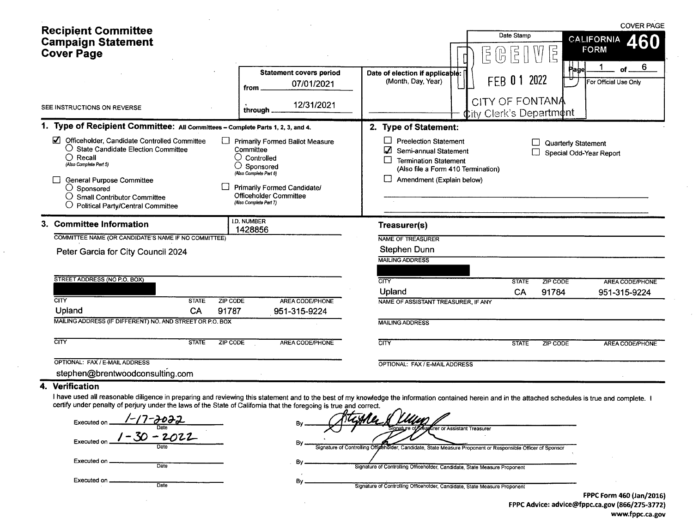| <b>Recipient Committee</b><br><b>Campaign Statement</b><br><b>Cover Page</b>                                                                                                                                                                                                                                                                   | <b>Statement covers period</b><br>07/01/2021<br>from                                                                                                                                                              | E<br>Date of election if applicable:<br>(Month, Day, Year)                                                                                                                   | Date Stamp<br>급<br>다<br>H<br>Page<br>2022<br><b>FEB 01</b> | <b>COVER PAGE</b><br><b>CALIFORNIA</b><br>460<br><b>FORM</b><br>6<br>οf<br>For Official Use Only |
|------------------------------------------------------------------------------------------------------------------------------------------------------------------------------------------------------------------------------------------------------------------------------------------------------------------------------------------------|-------------------------------------------------------------------------------------------------------------------------------------------------------------------------------------------------------------------|------------------------------------------------------------------------------------------------------------------------------------------------------------------------------|------------------------------------------------------------|--------------------------------------------------------------------------------------------------|
| SEE INSTRUCTIONS ON REVERSE                                                                                                                                                                                                                                                                                                                    | 12/31/2021<br>through                                                                                                                                                                                             |                                                                                                                                                                              | CITY OF FONTANA<br>$\Phi$ ity Clerk's Departm $\phi$ nt    |                                                                                                  |
| 1. Type of Recipient Committee: All Committees - Complete Parts 1, 2, 3, and 4.                                                                                                                                                                                                                                                                |                                                                                                                                                                                                                   | 2. Type of Statement:                                                                                                                                                        |                                                            |                                                                                                  |
| М<br>Officeholder, Candidate Controlled Committee<br>$\bigcirc$ State Candidate Election Committee<br>$\bigcirc$ Recall<br>(Also Complete Part 5)<br><b>General Purpose Committee</b><br>$\bigcirc$ Sponsored<br>$\bigcirc$ Small Contributor Committee<br>$\bigcirc$ Political Party/Central Committee                                        | Primarily Formed Ballot Measure<br>Committee<br>$\bigcirc$ Controlled<br>$\bigcirc$ Sponsored<br>(Also Complete Part 6)<br><b>Primarily Formed Candidate/</b><br>Officeholder Committee<br>(Also Complete Part 7) | П<br><b>Preelection Statement</b><br>Ø<br>Semi-annual Statement<br>$\Box$<br><b>Termination Statement</b><br>(Also file a Form 410 Termination)<br>Amendment (Explain below) | <b>Quarterly Statement</b>                                 | Special Odd-Year Report                                                                          |
| 3. Committee Information<br>COMMITTEE NAME (OR CANDIDATE'S NAME IF NO COMMITTEE)                                                                                                                                                                                                                                                               | <b>I.D. NUMBER</b><br>1428856                                                                                                                                                                                     | Treasurer(s)<br>NAME OF TREASURER                                                                                                                                            |                                                            |                                                                                                  |
| Peter Garcia for City Council 2024                                                                                                                                                                                                                                                                                                             |                                                                                                                                                                                                                   | Stephen Dunn<br><b>MAILING ADDRESS</b>                                                                                                                                       |                                                            |                                                                                                  |
| STREET ADDRESS (NO P.O. BOX)                                                                                                                                                                                                                                                                                                                   |                                                                                                                                                                                                                   | $\overline{\text{CITY}}$                                                                                                                                                     | <b>STATE</b><br>ZIP CODE                                   | AREA CODE/PHONE                                                                                  |
|                                                                                                                                                                                                                                                                                                                                                |                                                                                                                                                                                                                   | Upland                                                                                                                                                                       | CA<br>91784                                                | 951-315-9224                                                                                     |
| <b>CITY</b><br><b>STATE</b><br><b>ZIP CODE</b><br>Upland<br>CA<br>91787                                                                                                                                                                                                                                                                        | AREA CODE/PHONE<br>951-315-9224                                                                                                                                                                                   | NAME OF ASSISTANT TREASURER, IF ANY                                                                                                                                          |                                                            |                                                                                                  |
| MAILING ADDRESS (IF DIFFERENT) NO. AND STREET OR P.O. BOX                                                                                                                                                                                                                                                                                      |                                                                                                                                                                                                                   | <b>MAILING ADDRESS</b>                                                                                                                                                       |                                                            |                                                                                                  |
| CITY<br><b>STATE</b><br>ZIP CODE                                                                                                                                                                                                                                                                                                               | <b>AREA CODE/PHONE</b>                                                                                                                                                                                            | <b>CITY</b>                                                                                                                                                                  | <b>STATE</b><br>ZIP CODE                                   | AREA CODE/PHONE                                                                                  |
| OPTIONAL: FAX / E-MAIL ADDRESS<br>stephen@brentwoodconsulting.com                                                                                                                                                                                                                                                                              |                                                                                                                                                                                                                   | OPTIONAL: FAX / E-MAIL ADDRESS                                                                                                                                               |                                                            |                                                                                                  |
| 4. Verification<br>I have used all reasonable diligence in preparing and reviewing this statement and to the best of my knowledge the information contained herein and in the attached schedules is true and complete. I<br>certify under penalty of perjury under the laws of the State of California that the foregoing is true and correct. |                                                                                                                                                                                                                   | $\bigcap_{i=1}^n$                                                                                                                                                            |                                                            |                                                                                                  |

 $\sim 10^7$ 

| Executed on _               | <u>'-17-JoIZ</u><br>Date |
|-----------------------------|--------------------------|
| Executed on $1 - 30 - 2022$ | Date                     |
| Executed on __              | Date                     |
| Executed on.                | Date                     |

 $\sim$   $\sim$ 

 $\bar{z}$ 

 $\mathcal{L}$ 

| Bv | no iorogonig io trac ana concot.<br>Um d<br>thble H                                                         |
|----|-------------------------------------------------------------------------------------------------------------|
|    | Signature of Treasurer or Assistant Treasurer                                                               |
| Bv | Signature of Controlling Officenolder, Candidate, State Measure Proponent or Responsible Officer of Sponsor |
|    | Signature of Controlling Officeholder, Candidate, State Measure Proponent                                   |
| Bv |                                                                                                             |
|    | Signature of Controlling Officeholder, Candidate, State Measure Proponent                                   |

FPPC Form 460 (Jan/ 2016) FPPC Advice: advice@fppc. ca. gov ( 866/ 275- 3772) www.fppc.ca.gov

 $\alpha$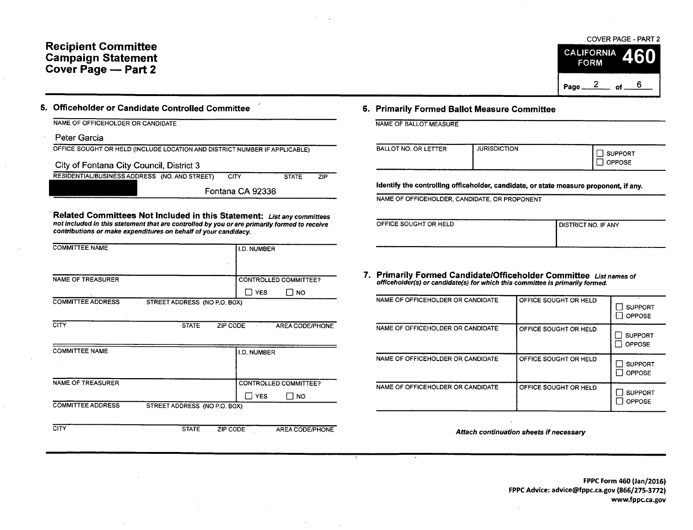## Recipient Committee Campaign Statement Cover Page — Part 2

COVER PAGE - PART 2 **CALIFORNIA FORM** Page  $\frac{2}{10}$  of  $\frac{6}{10}$ 

| 5. Officeholder or Candidate Controlled Committee | 6. Primarily Formed Ballot Measure Committee |
|---------------------------------------------------|----------------------------------------------|
|---------------------------------------------------|----------------------------------------------|

NAME OF OFFICEHOLDER OR CANDIDATE

Peter Garcia

OFFICE SOUGHT OR HELD ( INCLUDE LOCATION AND DISTRICT NUMBER IF APPLICABLE)

City of Fontana City Council, District 3

RESIDENTIAL/BUSINESS ADDRESS (NO. AND STREET) CITY STATE ZIP

Fontana CA 92336

Related Committees Not Included in this Statement: List any committees not included in this statement that are controlled by you or are primarily formed to receive contributions or make expenditures on behalf of your candidacy.

| <b>COMMITTEE NAME</b>    |                              | I.D. NUMBER |                              |
|--------------------------|------------------------------|-------------|------------------------------|
| <b>NAME OF TREASURER</b> |                              |             | <b>CONTROLLED COMMITTEE?</b> |
|                          |                              | <b>YES</b>  | <b>NO</b>                    |
| <b>COMMITTEE ADDRESS</b> | STREET ADDRESS (NO P.O. BOX) |             |                              |
| CITY                     | <b>STATE</b>                 | ZIP CODE    | AREA CODE/PHONE              |
| COMMITTEE NAME           |                              | ID MINDED   |                              |

| <u> 23111111 - 22 13 13 14</u>                           | <b>I.U. NUMBER</b>           |           |  |  |
|----------------------------------------------------------|------------------------------|-----------|--|--|
|                                                          |                              |           |  |  |
| NAME OF TREASURER                                        | <b>CONTROLLED COMMITTEE?</b> |           |  |  |
|                                                          | <b>YES</b>                   | <b>NO</b> |  |  |
| <b>COMMITTEE ADDRESS</b><br>STREET ADDRESS (NO P.O. BOX) |                              |           |  |  |

CITY STATE ZIP CODE AREA CODE/PHONE

| NAME OF BALLOT MEASURE |  |  |  |
|------------------------|--|--|--|
|                        |  |  |  |
|                        |  |  |  |
|                        |  |  |  |
|                        |  |  |  |
|                        |  |  |  |

| <b>JURISDICTION</b>  | <b>SUPPORT</b> |
|----------------------|----------------|
| BALLOT NO. OR LETTER | <b>OPPOSE</b>  |

Identify the controlling officeholder, candidate, or state measure proponent, if any.

NAME OF OFFICEHOLDER, CANDIDATE, OR PROPONENT

| OFFICE SOUGHT OR HELD | I DISTRICT NO. IF ANY |
|-----------------------|-----------------------|
|                       |                       |

7. Primarily Formed Candidate/Officeholder Committee List names of officeholder(s) or candidate(s) for which this committee is primarily formed.

| NAME OF OFFICEHOLDER OR CANDIDATE | OFFICE SOUGHT OR HELD | <b>SUPPORT</b><br><b>OPPOSE</b> |
|-----------------------------------|-----------------------|---------------------------------|
| NAME OF OFFICEHOLDER OR CANDIDATE | OFFICE SOUGHT OR HELD | <b>SUPPORT</b><br><b>OPPOSE</b> |
| NAME OF OFFICEHOLDER OR CANDIDATE | OFFICE SOUGHT OR HELD | <b>SUPPORT</b><br><b>OPPOSE</b> |
| NAME OF OFFICEHOLDER OR CANDIDATE | OFFICE SOUGHT OR HELD | <b>SUPPORT</b><br>OPPOSE        |

Attach continuation sheets if necessary

FPPC Form 460 (Jan/2016) FPPC Advice: advice@fppc.ca.gov (866/275-3772) www.fppc.ca. gov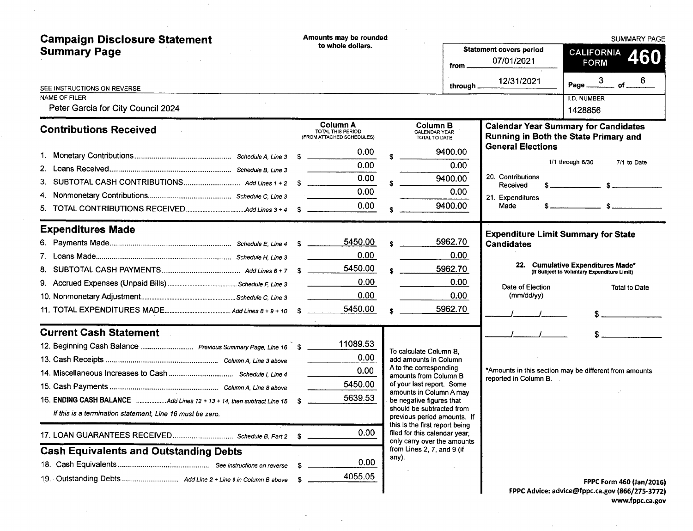| <b>Campaign Disclosure Statement</b><br><b>Summary Page</b>           |   | Amounts may be rounded<br>to whole dollars.                |       | from                                                                                           | <b>Statement covers period</b><br>07/01/2021 | <b>SUMMARY PAGE</b><br>CALIFORNIA<br><b>460</b><br><b>FORM</b>                       |  |  |
|-----------------------------------------------------------------------|---|------------------------------------------------------------|-------|------------------------------------------------------------------------------------------------|----------------------------------------------|--------------------------------------------------------------------------------------|--|--|
| SEE INSTRUCTIONS ON REVERSE                                           |   |                                                            |       | through                                                                                        | 12/31/2021                                   | Page $\frac{3}{2}$ of 6                                                              |  |  |
| NAME OF FILER<br>Peter Garcia for City Council 2024                   |   |                                                            |       |                                                                                                |                                              | I.D. NUMBER<br>1428856                                                               |  |  |
| <b>Contributions Received</b>                                         |   | Column A<br>TOTAL THIS PERIOD<br>(FROM ATTACHED SCHEDULES) |       | <b>Column B</b><br><b>CALENDAR YEAR</b><br>TOTAL TO DATE                                       |                                              | <b>Calendar Year Summary for Candidates</b><br>Running in Both the State Primary and |  |  |
|                                                                       |   | 0.00                                                       |       | 9400.00                                                                                        | <b>General Elections</b>                     |                                                                                      |  |  |
|                                                                       |   | 0.00                                                       |       | 0.00                                                                                           |                                              | 1/1 through 6/30<br>7/1 to Date                                                      |  |  |
| 3.                                                                    |   | 0.00                                                       |       | 9400.00                                                                                        | 20. Contributions<br>Received                |                                                                                      |  |  |
| 4.                                                                    |   | 0.00                                                       |       | 0.00                                                                                           | 21. Expenditures                             |                                                                                      |  |  |
|                                                                       |   | 0.00                                                       |       | 9400.00                                                                                        | Made                                         | $s$ $s$                                                                              |  |  |
| <b>Expenditures Made</b>                                              |   |                                                            |       |                                                                                                |                                              | <b>Expenditure Limit Summary for State</b>                                           |  |  |
|                                                                       |   | 5450.00                                                    |       | 5962.70                                                                                        | <b>Candidates</b>                            |                                                                                      |  |  |
|                                                                       |   | 0.00                                                       |       | 0.00                                                                                           |                                              |                                                                                      |  |  |
| 8.                                                                    |   | 5450.00                                                    |       | 5962.70                                                                                        |                                              | 22. Cumulative Expenditures Made*<br>(If Subject to Voluntary Expenditure Limit)     |  |  |
|                                                                       |   | 0.00                                                       |       | 0.00                                                                                           | Date of Election                             | <b>Total to Date</b>                                                                 |  |  |
|                                                                       |   | 0.00                                                       |       | 0.00                                                                                           | (mm/dd/yy)                                   |                                                                                      |  |  |
|                                                                       |   | 5450.00                                                    |       | 5962.70                                                                                        |                                              |                                                                                      |  |  |
| <b>Current Cash Statement</b>                                         |   |                                                            |       |                                                                                                |                                              |                                                                                      |  |  |
|                                                                       |   | 11089.53                                                   |       | To calculate Column B,                                                                         |                                              |                                                                                      |  |  |
|                                                                       |   | 0.00                                                       |       | add amounts in Column                                                                          |                                              |                                                                                      |  |  |
|                                                                       |   | 0.00                                                       |       | A to the corresponding<br>amounts from Column B                                                | reported in Column B.                        | *Amounts in this section may be different from amounts                               |  |  |
|                                                                       |   | 5450.00                                                    |       | of your last report. Some<br>amounts in Column A may                                           |                                              |                                                                                      |  |  |
| 16. ENDING CASH BALANCE Add Lines 12 + 13 + 14, then subtract Line 15 |   | 5639.53                                                    |       | be negative figures that                                                                       |                                              |                                                                                      |  |  |
| If this is a termination statement, Line 16 must be zero.             |   |                                                            |       | should be subtracted from<br>previous period amounts. If                                       |                                              |                                                                                      |  |  |
|                                                                       |   | 0.00                                                       |       | this is the first report being<br>filed for this calendar year,<br>only carry over the amounts |                                              |                                                                                      |  |  |
| <b>Cash Equivalents and Outstanding Debts</b>                         |   |                                                            | any). | from Lines 2, 7, and 9 (if                                                                     |                                              |                                                                                      |  |  |
|                                                                       | S | 0.00                                                       |       |                                                                                                |                                              |                                                                                      |  |  |
|                                                                       |   | 4055.05                                                    |       |                                                                                                |                                              | FPPC Form 460 (Jan/2016)                                                             |  |  |
|                                                                       |   |                                                            |       |                                                                                                |                                              | FPPC Advice: advice@fppc.ca.gov (866/275-3772)                                       |  |  |

 $\mathcal{F}^{\text{max}}_{\text{max}}$  and  $\mathcal{F}^{\text{max}}_{\text{max}}$ 

 $\label{eq:2.1} \frac{1}{\sqrt{2\pi}}\int_{\mathbb{R}^3}\frac{1}{\sqrt{2\pi}}\int_{\mathbb{R}^3}\frac{1}{\sqrt{2\pi}}\int_{\mathbb{R}^3}\frac{1}{\sqrt{2\pi}}\int_{\mathbb{R}^3}\frac{1}{\sqrt{2\pi}}\frac{1}{\sqrt{2\pi}}\frac{1}{\sqrt{2\pi}}\frac{1}{\sqrt{2\pi}}\frac{1}{\sqrt{2\pi}}\frac{1}{\sqrt{2\pi}}\frac{1}{\sqrt{2\pi}}\frac{1}{\sqrt{2\pi}}\frac{1}{\sqrt{2\pi}}\frac{1}{\sqrt{2\pi$ 

 $\sim 10^6$ 

 $\sim 10^{11}$  km  $^{-1}$ 

FPPC Advice: advice@fppc.ca.gov (866/275-3772) www.fppc.ca.gov

**Carl Committee** 

 $\sim$   $\sim$ 

 $\sim$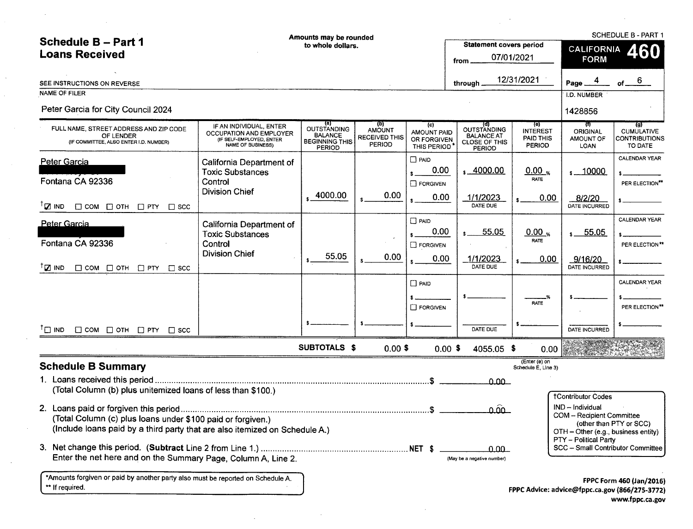| <b>Schedule B - Part 1</b><br><b>Loans Received</b>                                                                                        | Amounts may be rounded<br>to whole dollars.                                                                |                                                                                       |                                                        |                                                  | Statement covers period<br>from                                                         | 07/01/2021                                    | <b>SCHEDULE B - PART 1</b><br>460<br><b>CALIFORNIA</b><br><b>FORM</b>                                                  |                                                             |
|--------------------------------------------------------------------------------------------------------------------------------------------|------------------------------------------------------------------------------------------------------------|---------------------------------------------------------------------------------------|--------------------------------------------------------|--------------------------------------------------|-----------------------------------------------------------------------------------------|-----------------------------------------------|------------------------------------------------------------------------------------------------------------------------|-------------------------------------------------------------|
| SEE INSTRUCTIONS ON REVERSE<br><b>NAME OF FILER</b>                                                                                        |                                                                                                            |                                                                                       |                                                        |                                                  | through                                                                                 | 12/31/2021                                    | Page                                                                                                                   | of.                                                         |
| Peter Garcia for City Council 2024                                                                                                         |                                                                                                            |                                                                                       |                                                        |                                                  |                                                                                         |                                               | I.D. NUMBER<br>1428856                                                                                                 |                                                             |
| FULL NAME, STREET ADDRESS AND ZIP CODE<br>OF LENDER<br>(IF COMMITTEE, ALSO ENTER I.D. NUMBER)                                              | IF AN INDIVIDUAL, ENTER<br>OCCUPATION AND EMPLOYER<br>(IF SELF-EMPLOYED, ENTER<br><b>NAME OF BUSINESS)</b> | (a)<br><b>OUTSTANDING</b><br><b>BALANCE</b><br><b>BEGINNING THIS</b><br><b>PERIOD</b> | <u>(p)</u><br>AMOUNT<br><b>RECEIVED THIS</b><br>PERIOD | (c)<br>AMOUNT PAID<br>OR FORGIVEN<br>THIS PERIOD | (त)<br><b>OUTSTANDING</b><br><b>BALANCE AT</b><br><b>CLOSE OF THIS</b><br><b>PERIOD</b> | (e)<br><b>INTEREST</b><br>PAID THIS<br>PERIOD | TI)<br><b>ORIGINAL</b><br>AMOUNT OF<br>LOAN                                                                            | (g)<br><b>CUMULATIVE</b><br><b>CONTRIBUTIONS</b><br>TO DATE |
| <b>Peter Garcia</b><br>Fontana CA 92336                                                                                                    | California Department of<br><b>Toxic Substances</b><br>Control<br><b>Division Chief</b>                    | 4000.00                                                                               | 0.00                                                   | $\Box$ PAID<br>0.00<br>$\Box$ FORGIVEN<br>0.00   | $\frac{1}{2}$ , 4000.00<br>1/1/2023                                                     | $0.00_{\%}$<br><b>RATE</b><br>0.00            | $s = 10000$<br>8/2/20                                                                                                  | CALENDAR YEAR<br>PER ELECTION**                             |
| $\sqrt{ }$ IND<br>$\Box$ COM $\Box$ OTH $\Box$ PTY<br>$\Box$ scc                                                                           |                                                                                                            |                                                                                       |                                                        |                                                  | DATE DUE                                                                                |                                               | DATE INCURRED                                                                                                          |                                                             |
| Peter Garcia<br>Fontana CA 92336                                                                                                           | California Department of<br><b>Toxic Substances</b><br>Control<br><b>Division Chief</b>                    | 55.05                                                                                 | 0.00                                                   | $\Box$ PAID<br>0.00<br>FORGIVEN                  | 55.05                                                                                   | $0.00_{\%}$<br><b>RATE</b>                    | $s = 55.05$                                                                                                            | <b>CALENDAR YEAR</b><br>PER ELECTION**                      |
| $T_{\square}$ IND<br>$\Box$ COM $\Box$ OTH $\Box$ PTY<br>$\Box$ scc                                                                        |                                                                                                            |                                                                                       |                                                        | 0.00                                             | 1/1/2023<br>DATE DUE                                                                    | 0.00                                          | 9/16/20<br>DATE INCURRED                                                                                               |                                                             |
|                                                                                                                                            |                                                                                                            |                                                                                       |                                                        | $\Box$ PAID<br>$\Box$ FORGIVEN                   |                                                                                         | <b>RATE</b>                                   |                                                                                                                        | CALENDAR YEAR<br>PER ELECTION**                             |
| $\Box$ IND $\Box$ COM $\Box$ OTH $\Box$ PTY $\Box$ SCC                                                                                     |                                                                                                            |                                                                                       |                                                        |                                                  | DATE DUE                                                                                |                                               | DATE INCURRED                                                                                                          |                                                             |
|                                                                                                                                            |                                                                                                            | <b>SUBTOTALS \$</b>                                                                   | $0.00$ \$                                              | $0.00$ \$                                        | 4055.05 \$                                                                              | 0.00                                          |                                                                                                                        |                                                             |
| <b>Schedule B Summary</b>                                                                                                                  |                                                                                                            |                                                                                       |                                                        |                                                  |                                                                                         | (Enter (e) on<br>Schedule E, Line 3)          |                                                                                                                        |                                                             |
| (Total Column (b) plus unitemized loans of less than \$100.)                                                                               |                                                                                                            |                                                                                       |                                                        |                                                  | ــممم                                                                                   |                                               | <b>†Contributor Codes</b>                                                                                              |                                                             |
| (Total Column (c) plus loans under \$100 paid or forgiven.)<br>(Include loans paid by a third party that are also itemized on Schedule A.) |                                                                                                            |                                                                                       |                                                        |                                                  | ــممَمــ                                                                                |                                               | IND - Individual<br><b>COM</b> - Recipient Committee<br>(other than PTY or SCC)<br>OTH - Other (e.g., business entity) |                                                             |
| Enter the net here and on the Summary Page, Column A, Line 2.                                                                              |                                                                                                            |                                                                                       |                                                        |                                                  | _0.00_<br>(May be a negative number)                                                    |                                               | PTY - Political Party<br>SCC - Small Contributor Committee                                                             |                                                             |
| *Amounts forgiven or paid by another party also must be reported on Schedule A.                                                            |                                                                                                            |                                                                                       |                                                        |                                                  |                                                                                         |                                               | FPPC Form 460 (Jan/2016)                                                                                               |                                                             |

 $\mathcal{L}^{\mathcal{L}}(\mathcal{L}^{\mathcal{L}})$  and the contract of the contract of the contract of the contract of the contract of the contract of the contract of the contract of the contract of the contract of the contract of the contrac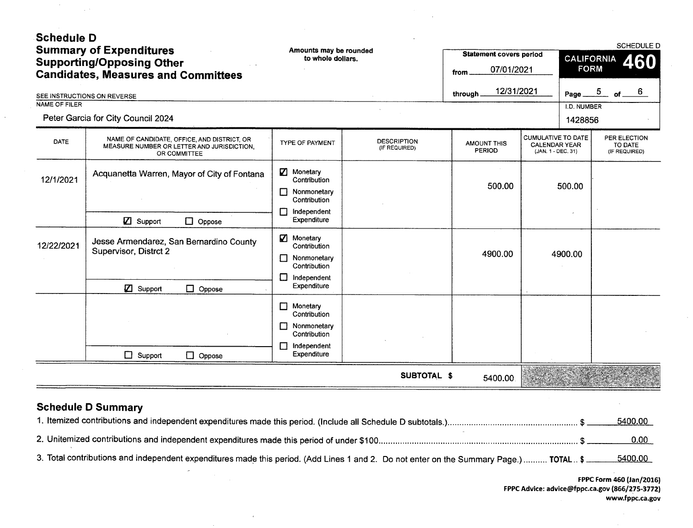| <b>Schedule D</b><br><b>Summary of Expenditures</b><br><b>Supporting/Opposing Other</b><br><b>Candidates, Measures and Committees</b> |                                                                                                           | Amounts may be rounded<br>to whole dollars.                                                       |                                     | <b>Statement covers period</b><br>07/01/2021<br>from | SCHEDULE D<br><b>CALIFORNIA</b><br>460<br><b>FORM</b>                   |                 |                                          |    |
|---------------------------------------------------------------------------------------------------------------------------------------|-----------------------------------------------------------------------------------------------------------|---------------------------------------------------------------------------------------------------|-------------------------------------|------------------------------------------------------|-------------------------------------------------------------------------|-----------------|------------------------------------------|----|
|                                                                                                                                       | SEE INSTRUCTIONS ON REVERSE                                                                               |                                                                                                   |                                     | 12/31/2021<br>through.                               |                                                                         | Page $5$ of $-$ |                                          | -6 |
| NAME OF FILER                                                                                                                         |                                                                                                           |                                                                                                   |                                     |                                                      |                                                                         | I.D. NUMBER     |                                          |    |
|                                                                                                                                       | Peter Garcia for City Council 2024                                                                        |                                                                                                   |                                     |                                                      |                                                                         | 1428856         |                                          |    |
| <b>DATE</b>                                                                                                                           | NAME OF CANDIDATE, OFFICE, AND DISTRICT, OR<br>MEASURE NUMBER OR LETTER AND JURISDICTION,<br>OR COMMITTEE | <b>TYPE OF PAYMENT</b>                                                                            | <b>DESCRIPTION</b><br>(IF REQUIRED) | <b>AMOUNT THIS</b><br>PERIOD                         | <b>CUMULATIVE TO DATE</b><br><b>CALENDAR YEAR</b><br>(JAN. 1 - DEC. 31) |                 | PER ELECTION<br>TO DATE<br>(IF REQUIRED) |    |
| 12/1/2021                                                                                                                             | Acquanetta Warren, Mayor of City of Fontana                                                               | <b>Z</b> Monetary<br>Contribution<br>Nonmonetary<br>Contribution<br>Independent<br>Γł             |                                     | 500.00                                               |                                                                         | 500.00          |                                          |    |
|                                                                                                                                       | $\mathbb Z$ Support<br>$\Box$ Oppose                                                                      | Expenditure                                                                                       |                                     |                                                      |                                                                         |                 |                                          |    |
| 12/22/2021                                                                                                                            | Jesse Armendarez, San Bernardino County<br>Supervisor, Distrct 2                                          | Ø<br>Monetary<br>Contribution<br>Nonmonetary<br>П<br>Contribution<br>Independent<br>ŧΙ            |                                     | 4900.00                                              |                                                                         | 4900.00         |                                          |    |
|                                                                                                                                       | <b>Z</b> Support<br>$\Box$ Oppose                                                                         | Expenditure                                                                                       |                                     |                                                      |                                                                         |                 |                                          |    |
|                                                                                                                                       | $\Box$ Support<br>$\Box$ Oppose                                                                           | Monetary<br>l  <br>Contribution<br>Nonmonetary<br>Contribution<br>Independent<br>П<br>Expenditure |                                     |                                                      |                                                                         |                 |                                          |    |
|                                                                                                                                       |                                                                                                           |                                                                                                   | <b>SUBTOTAL \$</b>                  | 5400.00                                              |                                                                         |                 |                                          |    |
|                                                                                                                                       | <b>Schedule D Summary</b>                                                                                 |                                                                                                   |                                     |                                                      |                                                                         |                 |                                          |    |

 $\sim$ 

 $\sim$ 

 $\sim 10^{11}$ 

|                                                                                                                                        | <u>5400.00</u>  |
|----------------------------------------------------------------------------------------------------------------------------------------|-----------------|
|                                                                                                                                        | 0.00            |
| 3. Total contributions and independent expenditures made this period. (Add Lines 1 and 2. Do not enter on the Summary Page.)  TOTAL \$ | <u>5400.00 </u> |

 $\overline{\phantom{a}}$ 

FPPC Form 460 (Jan/2016) FPPC Advice: advice@fppc.ca.gov (866/275-3772) www.fppc.ca.gov  $\sim 10^{-1}$